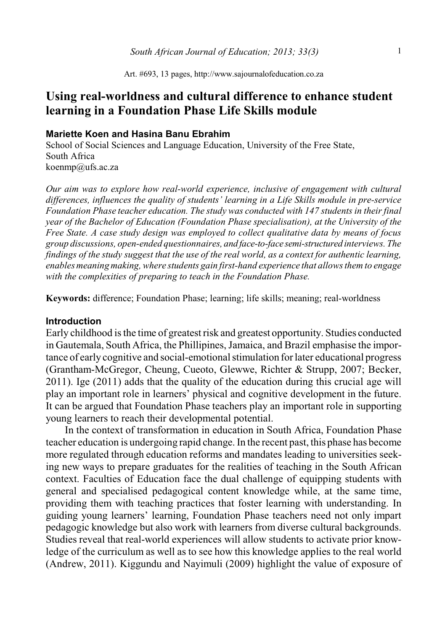Art. #693, 13 pages, http://www.sajournalofeducation.co.za

# **Using real-worldness and cultural difference to enhance student learning in a Foundation Phase Life Skills module**

#### **Mariette Koen and Hasina Banu Ebrahim**

School of Social Sciences and Language Education, University of the Free State, South Africa koenmp@ufs.ac.za

*Our aim was to explore how real-world experience, inclusive of engagement with cultural differences, influences the quality of students' learning in a Life Skills module in pre-service Foundation Phase teacher education. The study was conducted with 147 students in their final year of the Bachelor of Education (Foundation Phase specialisation), at the University of the Free State. A case study design was employed to collect qualitative data by means of focus group discussions, open-ended questionnaires, and face-to-face semi-structured interviews. The findings of the study suggest that the use of the real world, as a context for authentic learning, enables meaning making, where students gain first-hand experience that allows them to engage with the complexities of preparing to teach in the Foundation Phase.*

**Keywords:** difference; Foundation Phase; learning; life skills; meaning; real-worldness

#### **Introduction**

Early childhood is the time of greatest risk and greatest opportunity. Studies conducted in Gautemala, South Africa, the Phillipines, Jamaica, and Brazil emphasise the importance of early cognitive and social-emotional stimulation for later educational progress (Grantham-McGregor, Cheung, Cueoto, Glewwe, Richter & Strupp, 2007; Becker, 2011). Ige (2011) adds that the quality of the education during this crucial age will play an important role in learners' physical and cognitive development in the future. It can be argued that Foundation Phase teachers play an important role in supporting young learners to reach their developmental potential.

In the context of transformation in education in South Africa, Foundation Phase teacher education is undergoing rapid change. In the recent past, this phase has become more regulated through education reforms and mandates leading to universities seeking new ways to prepare graduates for the realities of teaching in the South African context. Faculties of Education face the dual challenge of equipping students with general and specialised pedagogical content knowledge while, at the same time, providing them with teaching practices that foster learning with understanding. In guiding young learners' learning, Foundation Phase teachers need not only impart pedagogic knowledge but also work with learners from diverse cultural backgrounds. Studies reveal that real-world experiences will allow students to activate prior knowledge of the curriculum as well as to see how this knowledge applies to the real world (Andrew, 2011). Kiggundu and Nayimuli (2009) highlight the value of exposure of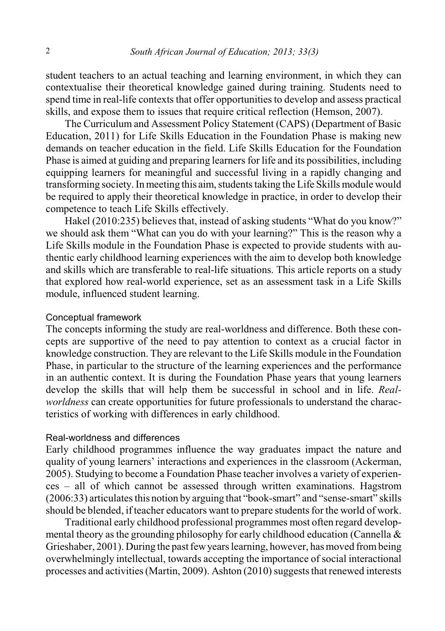student teachers to an actual teaching and learning environment, in which they can contextualise their theoretical knowledge gained during training. Students need to spend time in real-life contexts that offer opportunities to develop and assess practical skills, and expose them to issues that require critical reflection (Hemson, 2007).

The Curriculum and Assessment Policy Statement (CAPS) (Department of Basic Education, 2011) for Life Skills Education in the Foundation Phase is making new demands on teacher education in the field. Life Skills Education for the Foundation Phase is aimed at guiding and preparing learners for life and its possibilities, including equipping learners for meaningful and successful living in a rapidly changing and transforming society. In meeting this aim, students taking the Life Skills module would be required to apply their theoretical knowledge in practice, in order to develop their competence to teach Life Skills effectively.

Hakel (2010:235) believes that, instead of asking students "What do you know?" we should ask them "What can you do with your learning?" This is the reason why a Life Skills module in the Foundation Phase is expected to provide students with authentic early childhood learning experiences with the aim to develop both knowledge and skills which are transferable to real-life situations. This article reports on a study that explored how real-world experience, set as an assessment task in a Life Skills module, influenced student learning.

#### Conceptual framework

The concepts informing the study are real-worldness and difference. Both these concepts are supportive of the need to pay attention to context as a crucial factor in knowledge construction. They are relevant to the Life Skills module in the Foundation Phase, in particular to the structure of the learning experiences and the performance in an authentic context. It is during the Foundation Phase years that young learners develop the skills that will help them be successful in school and in life. *Realworldness* can create opportunities for future professionals to understand the characteristics of working with differences in early childhood.

## Real-worldness and differences

Early childhood programmes influence the way graduates impact the nature and quality of young learners' interactions and experiences in the classroom (Ackerman, 2005). Studying to become a Foundation Phase teacher involves a variety of experiences – all of which cannot be assessed through written examinations. Hagstrom (2006:33) articulates this notion by arguing that "book-smart" and "sense-smart" skills should be blended, if teacher educators want to prepare students for the world of work.

Traditional early childhood professional programmes most often regard developmental theory as the grounding philosophy for early childhood education (Cannella & Grieshaber, 2001). During the past fewyears learning, however, has moved frombeing overwhelmingly intellectual, towards accepting the importance of social interactional processes and activities (Martin, 2009). Ashton  $(2010)$  suggests that renewed interests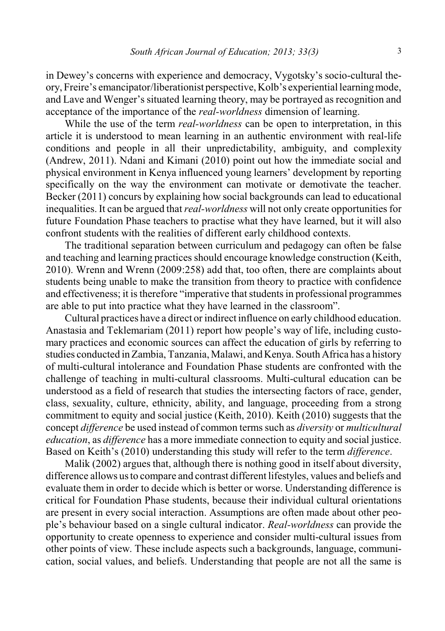in Dewey's concerns with experience and democracy, Vygotsky's socio-cultural theory, Freire's emancipator/liberationist perspective, Kolb's experiential learningmode, and Lave and Wenger's situated learning theory, may be portrayed as recognition and acceptance of the importance of the *real-worldness* dimension of learning.

While the use of the term *real-worldness* can be open to interpretation, in this article it is understood to mean learning in an authentic environment with real-life conditions and people in all their unpredictability, ambiguity, and complexity (Andrew, 2011). Ndani and Kimani (2010) point out how the immediate social and physical environment in Kenya influenced young learners' development by reporting specifically on the way the environment can motivate or demotivate the teacher. Becker (2011) concurs by explaining how social backgrounds can lead to educational inequalities. It can be argued that *real-worldness* will not only create opportunities for future Foundation Phase teachers to practise what they have learned, but it will also confront students with the realities of different early childhood contexts.

The traditional separation between curriculum and pedagogy can often be false and teaching and learning practices should encourage knowledge construction (Keith, 2010). Wrenn and Wrenn (2009:258) add that, too often, there are complaints about students being unable to make the transition from theory to practice with confidence and effectiveness; it is therefore "imperative that students in professional programmes are able to put into practice what they have learned in the classroom".

Cultural practices have a direct or indirect influence on early childhood education. Anastasia and Teklemariam (2011) report how people's way of life, including customary practices and economic sources can affect the education of girls by referring to studies conducted in Zambia, Tanzania, Malawi, and Kenya. South Africa has a history of multi-cultural intolerance and Foundation Phase students are confronted with the challenge of teaching in multi-cultural classrooms. Multi-cultural education can be understood as a field of research that studies the intersecting factors of race, gender, class, sexuality, culture, ethnicity, ability, and language, proceeding from a strong commitment to equity and social justice (Keith, 2010). Keith (2010) suggests that the concept *difference* be used instead of common terms such as *diversity* or *multicultural education*, as *difference* has a more immediate connection to equity and social justice. Based on Keith's (2010) understanding this study will refer to the term *difference*.

Malik (2002) argues that, although there is nothing good in itself about diversity, difference allows us to compare and contrast different lifestyles, values and beliefs and evaluate them in order to decide which is better or worse. Understanding difference is critical for Foundation Phase students, because their individual cultural orientations are present in every social interaction. Assumptions are often made about other people's behaviour based on a single cultural indicator. *Real-worldness* can provide the opportunity to create openness to experience and consider multi-cultural issues from other points of view. These include aspects such a backgrounds, language, communication, social values, and beliefs. Understanding that people are not all the same is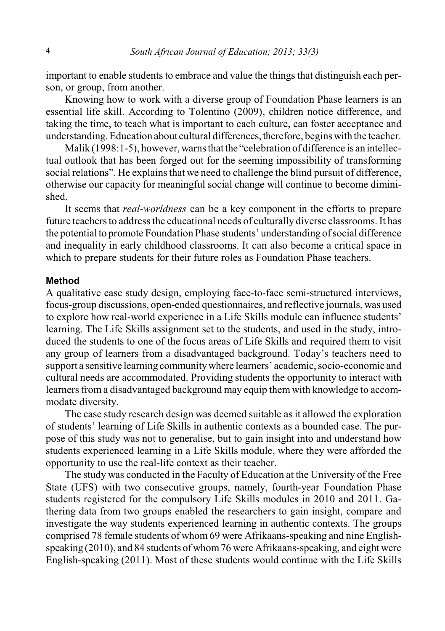important to enable students to embrace and value the things that distinguish each person, or group, from another.

Knowing how to work with a diverse group of Foundation Phase learners is an essential life skill. According to Tolentino (2009), children notice difference, and taking the time, to teach what is important to each culture, can foster acceptance and understanding. Education about cultural differences, therefore, begins with the teacher.

Malik (1998:1-5), however, warns that the "celebration of difference is an intellectual outlook that has been forged out for the seeming impossibility of transforming social relations". He explains that we need to challenge the blind pursuit of difference, otherwise our capacity for meaningful social change will continue to become diminished.

It seems that *real-worldness* can be a key component in the efforts to prepare future teachers to address the educational needs of culturally diverse classrooms. It has the potential to promote Foundation Phase students' understanding of social difference and inequality in early childhood classrooms. It can also become a critical space in which to prepare students for their future roles as Foundation Phase teachers.

#### **Method**

A qualitative case study design, employing face-to-face semi-structured interviews, focus-group discussions, open-ended questionnaires, and reflective journals, was used to explore how real-world experience in a Life Skills module can influence students' learning. The Life Skills assignment set to the students, and used in the study, introduced the students to one of the focus areas of Life Skills and required them to visit any group of learners from a disadvantaged background. Today's teachers need to support a sensitive learning communitywhere learners' academic, socio-economic and cultural needs are accommodated. Providing students the opportunity to interact with learners from a disadvantaged background may equip them with knowledge to accommodate diversity.

The case study research design was deemed suitable as it allowed the exploration of students' learning of Life Skills in authentic contexts as a bounded case. The purpose of this study was not to generalise, but to gain insight into and understand how students experienced learning in a Life Skills module, where they were afforded the opportunity to use the real-life context as their teacher.

The study was conducted in the Faculty of Education at the University of the Free State (UFS) with two consecutive groups, namely, fourth-year Foundation Phase students registered for the compulsory Life Skills modules in 2010 and 2011. Gathering data from two groups enabled the researchers to gain insight, compare and investigate the way students experienced learning in authentic contexts. The groups comprised 78 female students of whom 69 were Afrikaans-speaking and nine Englishspeaking (2010), and 84 students of whom76 were Afrikaans-speaking, and eight were English-speaking (2011). Most of these students would continue with the Life Skills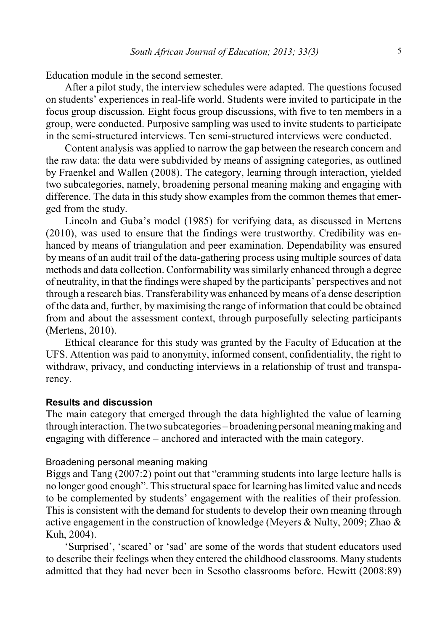Education module in the second semester.

After a pilot study, the interview schedules were adapted. The questions focused on students' experiences in real-life world. Students were invited to participate in the focus group discussion. Eight focus group discussions, with five to ten members in a group, were conducted. Purposive sampling was used to invite students to participate in the semi-structured interviews. Ten semi-structured interviews were conducted.

Content analysis was applied to narrow the gap between the research concern and the raw data: the data were subdivided by means of assigning categories, as outlined by Fraenkel and Wallen (2008). The category, learning through interaction, yielded two subcategories, namely, broadening personal meaning making and engaging with difference. The data in this study show examples from the common themes that emerged from the study.

Lincoln and Guba's model (1985) for verifying data, as discussed in Mertens (2010), was used to ensure that the findings were trustworthy. Credibility was enhanced by means of triangulation and peer examination. Dependability was ensured by means of an audit trail of the data-gathering process using multiple sources of data methods and data collection. Conformability was similarly enhanced through a degree of neutrality, in that the findings were shaped by the participants' perspectives and not through a research bias. Transferability was enhanced by means of a dense description of the data and, further, by maximising the range of information that could be obtained from and about the assessment context, through purposefully selecting participants (Mertens, 2010).

Ethical clearance for this study was granted by the Faculty of Education at the UFS. Attention was paid to anonymity, informed consent, confidentiality, the right to withdraw, privacy, and conducting interviews in a relationship of trust and transparency.

## **Results and discussion**

The main category that emerged through the data highlighted the value of learning through interaction. The two subcategories – broadening personal meaningmaking and engaging with difference – anchored and interacted with the main category.

#### Broadening personal meaning making

Biggs and Tang (2007:2) point out that "cramming students into large lecture halls is no longer good enough". Thisstructural space for learning has limited value and needs to be complemented by students' engagement with the realities of their profession. This is consistent with the demand for students to develop their own meaning through active engagement in the construction of knowledge (Meyers & Nulty, 2009; Zhao & Kuh, 2004).

'Surprised', 'scared' or 'sad' are some of the words that student educators used to describe their feelings when they entered the childhood classrooms. Many students admitted that they had never been in Sesotho classrooms before. Hewitt (2008:89)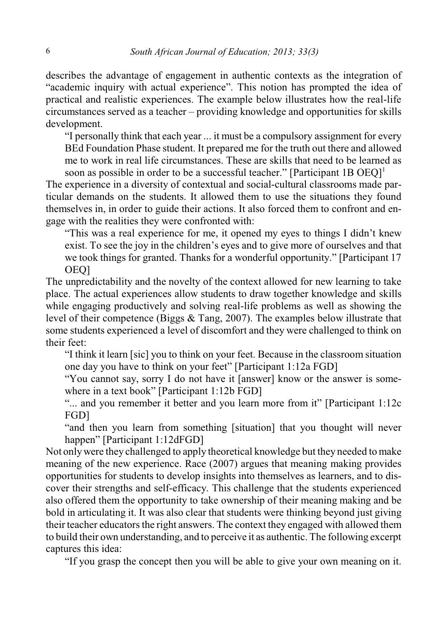describes the advantage of engagement in authentic contexts as the integration of "academic inquiry with actual experience". This notion has prompted the idea of practical and realistic experiences. The example below illustrates how the real-life circumstances served as a teacher – providing knowledge and opportunities for skills development.

"I personally think that each year ... it must be a compulsory assignment for every BEd Foundation Phase student. It prepared me for the truth out there and allowed me to work in real life circumstances. These are skills that need to be learned as soon as possible in order to be a successful teacher." [Participant 1B OEO]<sup>1</sup>

The experience in a diversity of contextual and social-cultural classrooms made particular demands on the students. It allowed them to use the situations they found themselves in, in order to guide their actions. It also forced them to confront and engage with the realities they were confronted with:

"This was a real experience for me, it opened my eyes to things I didn't knew exist. To see the joy in the children's eyes and to give more of ourselves and that we took things for granted. Thanks for a wonderful opportunity." [Participant 17 OEQ]

The unpredictability and the novelty of the context allowed for new learning to take place. The actual experiences allow students to draw together knowledge and skills while engaging productively and solving real-life problems as well as showing the level of their competence (Biggs & Tang, 2007). The examples below illustrate that some students experienced a level of discomfort and they were challenged to think on their feet:

"I think it learn [sic] you to think on your feet. Because in the classroom situation one day you have to think on your feet" [Participant 1:12a FGD]

"You cannot say, sorry I do not have it [answer] know or the answer is somewhere in a text book" [Participant 1:12b FGD]

"... and you remember it better and you learn more from it" [Participant 1:12c] FGD]

"and then you learn from something [situation] that you thought will never happen" [Participant 1:12dFGD]

Not onlywere they challenged to apply theoretical knowledge but they needed to make meaning of the new experience. Race (2007) argues that meaning making provides opportunities for students to develop insights into themselves as learners, and to discover their strengths and self-efficacy. This challenge that the students experienced also offered them the opportunity to take ownership of their meaning making and be bold in articulating it. It was also clear that students were thinking beyond just giving their teacher educators the right answers. The context they engaged with allowed them to build their own understanding, and to perceive it as authentic. The following excerpt captures this idea:

"If you grasp the concept then you will be able to give your own meaning on it.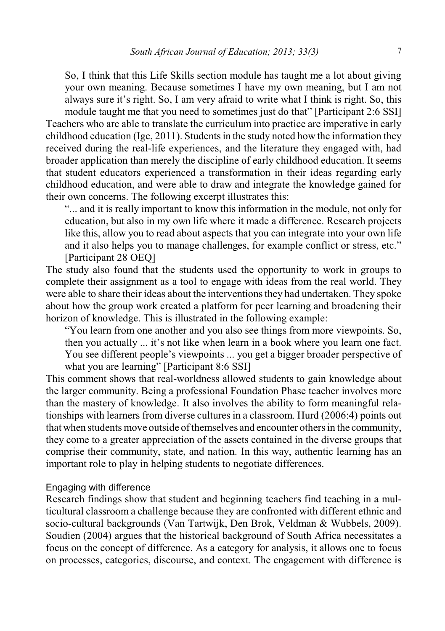So, I think that this Life Skills section module has taught me a lot about giving your own meaning. Because sometimes I have my own meaning, but I am not always sure it's right. So, I am very afraid to write what I think is right. So, this module taught me that you need to sometimes just do that" [Participant 2:6 SSI]

Teachers who are able to translate the curriculum into practice are imperative in early childhood education (Ige, 2011). Studentsin the study noted how the information they received during the real-life experiences, and the literature they engaged with, had broader application than merely the discipline of early childhood education. It seems that student educators experienced a transformation in their ideas regarding early childhood education, and were able to draw and integrate the knowledge gained for their own concerns. The following excerpt illustrates this:

"... and it is really important to know this information in the module, not only for education, but also in my own life where it made a difference. Research projects like this, allow you to read about aspects that you can integrate into your own life and it also helps you to manage challenges, for example conflict or stress, etc." [Participant 28 OEQ]

The study also found that the students used the opportunity to work in groups to complete their assignment as a tool to engage with ideas from the real world. They were able to share their ideas about the interventions they had undertaken. They spoke about how the group work created a platform for peer learning and broadening their horizon of knowledge. This is illustrated in the following example:

"You learn from one another and you also see things from more viewpoints. So, then you actually ... it's not like when learn in a book where you learn one fact. You see different people's viewpoints ... you get a bigger broader perspective of what you are learning" [Participant 8:6 SSI]

This comment shows that real-worldness allowed students to gain knowledge about the larger community. Being a professional Foundation Phase teacher involves more than the mastery of knowledge. It also involves the ability to form meaningful relationships with learners from diverse cultures in a classroom. Hurd (2006:4) points out that when students move outside of themselves and encounter others in the community, they come to a greater appreciation of the assets contained in the diverse groups that comprise their community, state, and nation. In this way, authentic learning has an important role to play in helping students to negotiate differences.

#### Engaging with difference

Research findings show that student and beginning teachers find teaching in a multicultural classroom a challenge because they are confronted with different ethnic and socio-cultural backgrounds (Van Tartwijk, Den Brok, Veldman & Wubbels, 2009). Soudien (2004) argues that the historical background of South Africa necessitates a focus on the concept of difference. As a category for analysis, it allows one to focus on processes, categories, discourse, and context. The engagement with difference is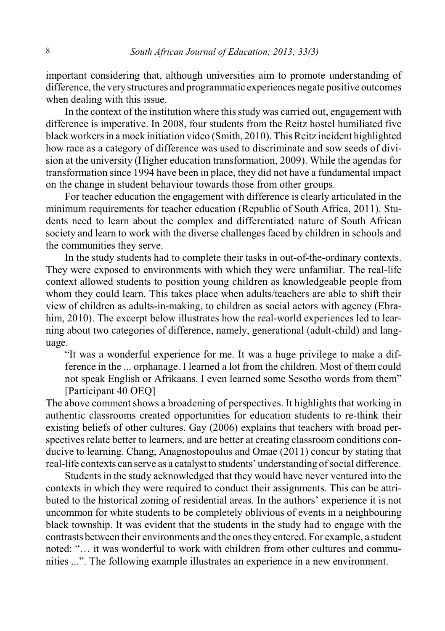important considering that, although universities aim to promote understanding of difference, the very structures and programmatic experiences negate positive outcomes when dealing with this issue.

In the context of the institution where this study was carried out, engagement with difference is imperative. In 2008, four students from the Reitz hostel humiliated five black workers in a mock initiation video (Smith, 2010). ThisReitz incident highlighted how race as a category of difference was used to discriminate and sow seeds of division at the university (Higher education transformation, 2009). While the agendas for transformation since 1994 have been in place, they did not have a fundamental impact on the change in student behaviour towards those from other groups.

For teacher education the engagement with difference is clearly articulated in the minimum requirements for teacher education (Republic of South Africa, 2011). Students need to learn about the complex and differentiated nature of South African society and learn to work with the diverse challenges faced by children in schools and the communities they serve.

In the study students had to complete their tasks in out-of-the-ordinary contexts. They were exposed to environments with which they were unfamiliar. The real-life context allowed students to position young children as knowledgeable people from whom they could learn. This takes place when adults/teachers are able to shift their view of children as adults-in-making, to children as social actors with agency (Ebrahim, 2010). The excerpt below illustrates how the real-world experiences led to learning about two categories of difference, namely, generational (adult-child) and language.

"It was a wonderful experience for me. It was a huge privilege to make a difference in the ... orphanage. I learned a lot from the children. Most of them could not speak English or Afrikaans. I even learned some Sesotho words from them" [Participant 40 OEQ]

The above comment shows a broadening of perspectives. It highlights that working in authentic classrooms created opportunities for education students to re-think their existing beliefs of other cultures. Gay (2006) explains that teachers with broad perspectives relate better to learners, and are better at creating classroom conditions conducive to learning. Chang, Anagnostopoulus and Omae (2011) concur by stating that real-life contexts can serve as a catalyst to students' understanding of social difference.

Studentsin the study acknowledged that they would have never ventured into the contexts in which they were required to conduct their assignments. This can be attributed to the historical zoning of residential areas. In the authors' experience it is not uncommon for white students to be completely oblivious of events in a neighbouring black township. It was evident that the students in the study had to engage with the contrasts between their environments and the ones they entered. For example, a student noted: "… it was wonderful to work with children from other cultures and communities ...". The following example illustrates an experience in a new environment.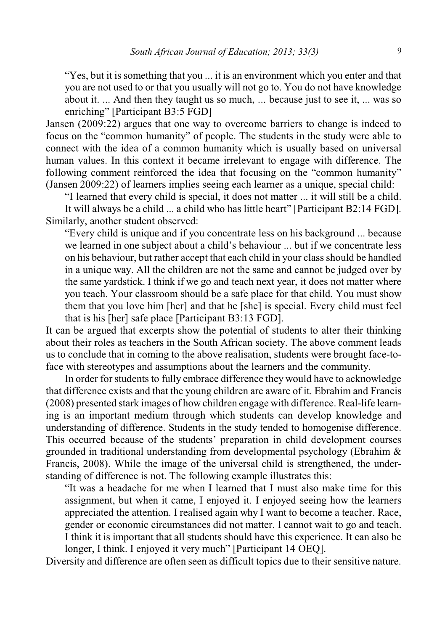"Yes, but it is something that you ... it is an environment which you enter and that you are not used to or that you usually will not go to. You do not have knowledge about it. ... And then they taught us so much, ... because just to see it, ... was so enriching" [Participant B3:5 FGD]

Jansen (2009:22) argues that one way to overcome barriers to change is indeed to focus on the "common humanity" of people. The students in the study were able to connect with the idea of a common humanity which is usually based on universal human values. In this context it became irrelevant to engage with difference. The following comment reinforced the idea that focusing on the "common humanity" (Jansen 2009:22) of learners implies seeing each learner as a unique, special child:

"I learned that every child is special, it does not matter ... it will still be a child. It will always be a child ... a child who has little heart" [Participant B2:14 FGD]. Similarly, another student observed:

"Every child is unique and if you concentrate less on his background ... because we learned in one subject about a child's behaviour ... but if we concentrate less on his behaviour, but rather accept that each child in your class should be handled in a unique way. All the children are not the same and cannot be judged over by the same yardstick. I think if we go and teach next year, it does not matter where you teach. Your classroom should be a safe place for that child. You must show them that you love him [her] and that he [she] is special. Every child must feel that is his [her] safe place [Participant B3:13 FGD].

It can be argued that excerpts show the potential of students to alter their thinking about their roles as teachers in the South African society. The above comment leads us to conclude that in coming to the above realisation, students were brought face-toface with stereotypes and assumptions about the learners and the community.

In order for students to fully embrace difference they would have to acknowledge that difference exists and that the young children are aware of it. Ebrahim and Francis (2008) presented stark images of how children engage with difference. Real-life learning is an important medium through which students can develop knowledge and understanding of difference. Students in the study tended to homogenise difference. This occurred because of the students' preparation in child development courses grounded in traditional understanding from developmental psychology (Ebrahim & Francis, 2008). While the image of the universal child is strengthened, the understanding of difference is not. The following example illustrates this:

"It was a headache for me when I learned that I must also make time for this assignment, but when it came, I enjoyed it. I enjoyed seeing how the learners appreciated the attention. I realised again why I want to become a teacher. Race, gender or economic circumstances did not matter. I cannot wait to go and teach. I think it is important that all students should have this experience. It can also be longer, I think. I enjoyed it very much" [Participant 14 OEO].

Diversity and difference are often seen as difficult topics due to their sensitive nature.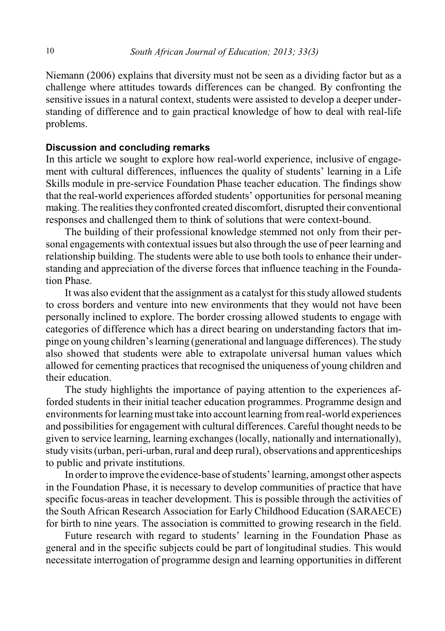Niemann (2006) explains that diversity must not be seen as a dividing factor but as a challenge where attitudes towards differences can be changed. By confronting the sensitive issues in a natural context, students were assisted to develop a deeper understanding of difference and to gain practical knowledge of how to deal with real-life problems.

## **Discussion and concluding remarks**

In this article we sought to explore how real-world experience, inclusive of engagement with cultural differences, influences the quality of students' learning in a Life Skills module in pre-service Foundation Phase teacher education. The findings show that the real-world experiences afforded students' opportunities for personal meaning making. The realities they confronted created discomfort, disrupted their conventional responses and challenged them to think of solutions that were context-bound.

The building of their professional knowledge stemmed not only from their personal engagements with contextual issues but also through the use of peer learning and relationship building. The students were able to use both tools to enhance their understanding and appreciation of the diverse forces that influence teaching in the Foundation Phase.

It was also evident that the assignment as a catalyst for thisstudy allowed students to cross borders and venture into new environments that they would not have been personally inclined to explore. The border crossing allowed students to engage with categories of difference which has a direct bearing on understanding factors that impinge on young children'slearning (generational and language differences). The study also showed that students were able to extrapolate universal human values which allowed for cementing practices that recognised the uniqueness of young children and their education.

The study highlights the importance of paying attention to the experiences afforded students in their initial teacher education programmes. Programme design and environments for learning must take into account learning from real-world experiences and possibilities for engagement with cultural differences. Careful thought needs to be given to service learning, learning exchanges (locally, nationally and internationally), study visits (urban, peri-urban, rural and deep rural), observations and apprenticeships to public and private institutions.

In order to improve the evidence-base of students'learning, amongst other aspects in the Foundation Phase, it is necessary to develop communities of practice that have specific focus-areas in teacher development. This is possible through the activities of the South African Research Association for Early Childhood Education (SARAECE) for birth to nine years. The association is committed to growing research in the field.

Future research with regard to students' learning in the Foundation Phase as general and in the specific subjects could be part of longitudinal studies. This would necessitate interrogation of programme design and learning opportunities in different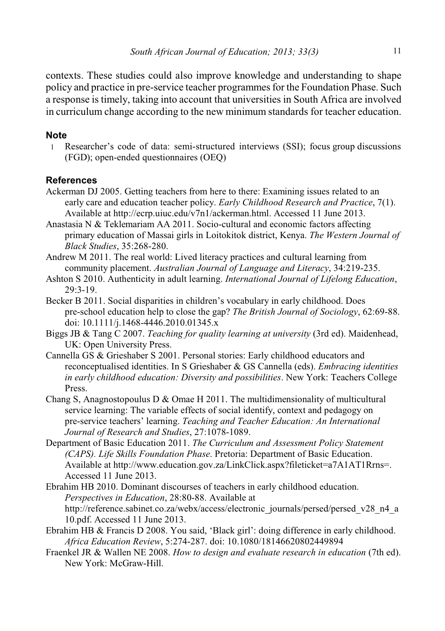contexts. These studies could also improve knowledge and understanding to shape policy and practice in pre-service teacher programmes for the Foundation Phase. Such a response is timely, taking into account that universities in South Africa are involved in curriculum change according to the new minimum standards for teacher education.

## **Note**

 1 Researcher's code of data: semi-structured interviews (SSI); focus group discussions (FGD); open-ended questionnaires (OEQ)

# **References**

- Ackerman DJ 2005. Getting teachers from here to there: Examining issues related to an early care and education teacher policy. *Early Childhood Research and Practice*, 7(1). Available at http://ecrp.uiuc.edu/v7n1/ackerman.html. Accessed 11 June 2013.
- Anastasia N & Teklemariam AA 2011. Socio-cultural and economic factors affecting primary education of Massai girls in Loitokitok district, Kenya. *The Western Journal of Black Studies*, 35:268-280.
- Andrew M 2011. The real world: Lived literacy practices and cultural learning from community placement. *Australian Journal of Language and Literacy*, 34:219-235.
- Ashton S 2010. Authenticity in adult learning. *International Journal of Lifelong Education*, 29:3-19.
- Becker B 2011. Social disparities in children's vocabulary in early childhood. Does pre-school education help to close the gap? *The British Journal of Sociology*, 62:69-88. doi: 10.1111/j.1468-4446.2010.01345.x
- Biggs JB & Tang C 2007. *Teaching for quality learning at university* (3rd ed). Maidenhead, UK: Open University Press.
- Cannella GS & Grieshaber S 2001. Personal stories: Early childhood educators and reconceptualised identities. In S Grieshaber & GS Cannella (eds). *Embracing identities in early childhood education: Diversity and possibilities*. New York: Teachers College Press.
- Chang S, Anagnostopoulus D & Omae H 2011. The multidimensionality of multicultural service learning: The variable effects of social identify, context and pedagogy on pre-service teachers' learning. *Teaching and Teacher Education: An International Journal of Research and Studies*, 27:1078-1089.
- Department of Basic Education 2011. *The Curriculum and Assessment Policy Statement (CAPS). Life Skills Foundation Phase*. Pretoria: Department of Basic Education. Available at http://www.education.gov.za/LinkClick.aspx?fileticket=a7A1AT1Rrns=. Accessed 11 June 2013.
- Ebrahim HB 2010. Dominant discourses of teachers in early childhood education. *Perspectives in Education*, 28:80-88. Available at http://reference.sabinet.co.za/webx/access/electronic\_journals/persed/persed\_v28\_n4\_a 10.pdf. Accessed 11 June 2013.
- Ebrahim HB & Francis D 2008. You said, 'Black girl': doing difference in early childhood. *Africa Education Review*, 5:274-287. doi: 10.1080/18146620802449894
- Fraenkel JR & Wallen NE 2008. *How to design and evaluate research in education* (7th ed). New York: McGraw-Hill.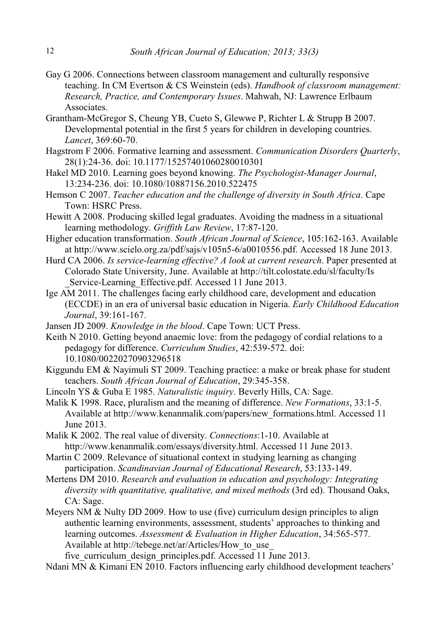- Gay G 2006. Connections between classroom management and culturally responsive teaching. In CM Evertson & CS Weinstein (eds). *Handbook of classroom management: Research, Practice, and Contemporary Issues*. Mahwah, NJ: Lawrence Erlbaum **Associates**
- Grantham-McGregor S, Cheung YB, Cueto S, Glewwe P, Richter L & Strupp B 2007. Developmental potential in the first 5 years for children in developing countries. *Lancet*, 369:60-70.
- Hagstrom F 2006. Formative learning and assessment. *Communication Disorders Quarterly*, 28(1):24-36. doi: 10.1177/15257401060280010301
- Hakel MD 2010. Learning goes beyond knowing. *The Psychologist-Manager Journal*, 13:234-236. doi: 10.1080/10887156.2010.522475
- Hemson C 2007. *Teacher education and the challenge of diversity in South Africa*. Cape Town: HSRC Press.
- Hewitt A 2008. Producing skilled legal graduates. Avoiding the madness in a situational learning methodology. *Griffith Law Review*, 17:87-120.
- Higher education transformation. *South African Journal of Science*, 105:162-163. Available at http://www.scielo.org.za/pdf/sajs/v105n5-6/a0010556.pdf. Accessed 18 June 2013.
- Hurd CA 2006. *Is service-learning effective? A look at current research*. Paper presented at Colorado State University, June. Available at http://tilt.colostate.edu/sl/faculty/Is Service-Learning Effective.pdf. Accessed 11 June 2013.
- Ige AM 2011. The challenges facing early childhood care, development and education (ECCDE) in an era of universal basic education in Nigeria. *Early Childhood Education Journal*, 39:161-167.
- Jansen JD 2009. *Knowledge in the blood*. Cape Town: UCT Press.
- Keith N 2010. Getting beyond anaemic love: from the pedagogy of cordial relations to a pedagogy for difference. *Curriculum Studies*, 42:539-572. doi: 10.1080/00220270903296518
- Kiggundu EM & Nayimuli ST 2009. Teaching practice: a make or break phase for student teachers. *South African Journal of Education*, 29:345-358.
- Lincoln YS & Guba E 1985. *Naturalistic inquiry*. Beverly Hills, CA: Sage.
- Malik K 1998. Race, pluralism and the meaning of difference. *New Formations*, 33:1-5. Available at http://www.kenanmalik.com/papers/new\_formations.html. Accessed 11 June 2013.
- Malik K 2002. The real value of diversity. *Connections*:1-10. Available at http://www.kenanmalik.com/essays/diversity.html. Accessed 11 June 2013.
- Martin C 2009. Relevance of situational context in studying learning as changing participation. *Scandinavian Journal of Educational Research*, 53:133-149.
- Mertens DM 2010. *Research and evaluation in education and psychology: Integrating diversity with quantitative, qualitative, and mixed methods* (3rd ed). Thousand Oaks, CA: Sage.
- Meyers NM  $&$  Nulty DD 2009. How to use (five) curriculum design principles to align authentic learning environments, assessment, students' approaches to thinking and learning outcomes. *Assessment & Evaluation in Higher Education*, 34:565-577. Available at http://tebege.net/ar/Articles/How\_to\_use\_

five\_curriculum\_design\_principles.pdf. Accessed 11 June 2013.

Ndani MN & Kimani EN 2010. Factors influencing early childhood development teachers'